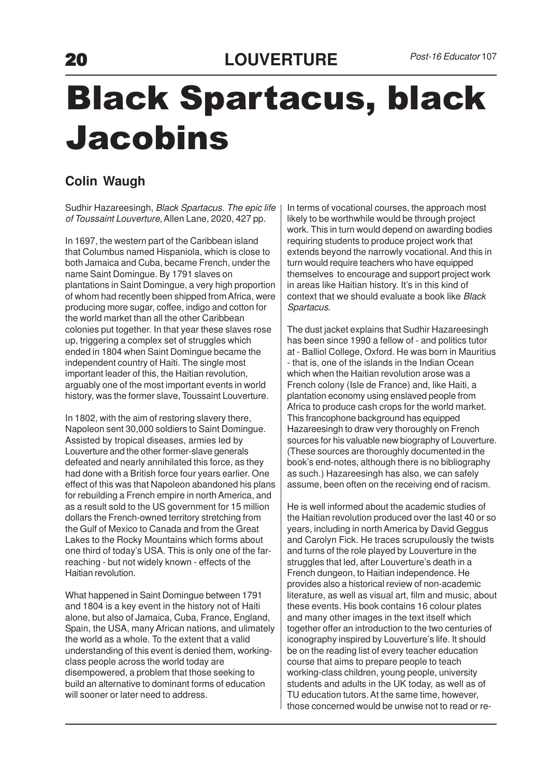## Black Spartacus, black Jacobins

## **Colin Waugh**

Sudhir Hazareesingh, Black Spartacus. The epic life of Toussaint Louverture, Allen Lane, 2020, 427 pp.

In 1697, the western part of the Caribbean island that Columbus named Hispaniola, which is close to both Jamaica and Cuba, became French, under the name Saint Domingue. By 1791 slaves on plantations in Saint Domingue, a very high proportion of whom had recently been shipped from Africa, were producing more sugar, coffee, indigo and cotton for the world market than all the other Caribbean colonies put together. In that year these slaves rose up, triggering a complex set of struggles which ended in 1804 when Saint Domingue became the independent country of Haiti. The single most important leader of this, the Haitian revolution, arguably one of the most important events in world history, was the former slave, Toussaint Louverture.

In 1802, with the aim of restoring slavery there, Napoleon sent 30,000 soldiers to Saint Domingue. Assisted by tropical diseases, armies led by Louverture and the other former-slave generals defeated and nearly annihilated this force, as they had done with a British force four years earlier. One effect of this was that Napoleon abandoned his plans for rebuilding a French empire in north America, and as a result sold to the US government for 15 million dollars the French-owned territory stretching from the Gulf of Mexico to Canada and from the Great Lakes to the Rocky Mountains which forms about one third of today's USA. This is only one of the farreaching - but not widely known - effects of the Haitian revolution.

What happened in Saint Domingue between 1791 and 1804 is a key event in the history not of Haiti alone, but also of Jamaica, Cuba, France, England, Spain, the USA, many African nations, and ulimately the world as a whole. To the extent that a valid understanding of this event is denied them, workingclass people across the world today are disempowered, a problem that those seeking to build an alternative to dominant forms of education will sooner or later need to address.

In terms of vocational courses, the approach most likely to be worthwhile would be through project work. This in turn would depend on awarding bodies requiring students to produce project work that extends beyond the narrowly vocational. And this in turn would require teachers who have equipped themselves to encourage and support project work in areas like Haitian history. It's in this kind of context that we should evaluate a book like Black Spartacus.

The dust jacket explains that Sudhir Hazareesingh has been since 1990 a fellow of - and politics tutor at - Balliol College, Oxford. He was born in Mauritius - that is, one of the islands in the Indian Ocean which when the Haitian revolution arose was a French colony (Isle de France) and, like Haiti, a plantation economy using enslaved people from Africa to produce cash crops for the world market. This francophone background has equipped Hazareesingh to draw very thoroughly on French sources for his valuable new biography of Louverture. (These sources are thoroughly documented in the book's end-notes, although there is no bibliography as such.) Hazareesingh has also, we can safely assume, been often on the receiving end of racism.

He is well informed about the academic studies of the Haitian revolution produced over the last 40 or so years, including in north America by David Geggus and Carolyn Fick. He traces scrupulously the twists and turns of the role played by Louverture in the struggles that led, after Louverture's death in a French dungeon, to Haitian independence. He provides also a historical review of non-academic literature, as well as visual art, film and music, about these events. His book contains 16 colour plates and many other images in the text itself which together offer an introduction to the two centuries of iconography inspired by Louverture's life. It should be on the reading list of every teacher education course that aims to prepare people to teach working-class children, young people, university students and adults in the UK today, as well as of TU education tutors. At the same time, however, those concerned would be unwise not to read or re-